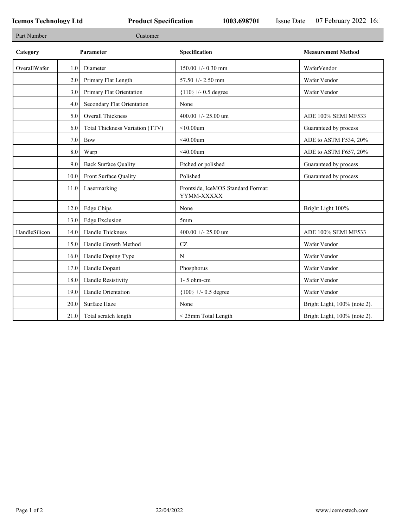Г

П

| Part Number   |         | Customer                        |                                                  |                              |
|---------------|---------|---------------------------------|--------------------------------------------------|------------------------------|
| Category      |         | Parameter                       | Specification                                    | <b>Measurement Method</b>    |
| OverallWafer  | $1.0\,$ | Diameter                        | $150.00 + - 0.30$ mm                             | WaferVendor                  |
|               | 2.0     | Primary Flat Length             | 57.50 +/- 2.50 mm                                | Wafer Vendor                 |
|               | 3.0     | Primary Flat Orientation        | ${110}$ +/- 0.5 degree                           | Wafer Vendor                 |
|               | 4.0     | Secondary Flat Orientation      | None                                             |                              |
|               | 5.0     | Overall Thickness               | 400.00 +/- 25.00 um                              | ADE 100% SEMI MF533          |
|               | 6.0     | Total Thickness Variation (TTV) | $<$ 10.00 $um$                                   | Guaranteed by process        |
|               | 7.0     | <b>Bow</b>                      | $<$ 40.00um                                      | ADE to ASTM F534, 20%        |
|               | 8.0     | Warp                            | $<$ 40.00 $um$                                   | ADE to ASTM F657, 20%        |
|               | 9.0     | <b>Back Surface Quality</b>     | Etched or polished                               | Guaranteed by process        |
|               | 10.0    | Front Surface Quality           | Polished                                         | Guaranteed by process        |
|               | 11.0    | Lasermarking                    | Frontside, IceMOS Standard Format:<br>YYMM-XXXXX |                              |
|               | 12.0    | Edge Chips                      | None                                             | Bright Light 100%            |
|               | 13.0    | <b>Edge Exclusion</b>           | 5mm                                              |                              |
| HandleSilicon | 14.0    | Handle Thickness                | 400.00 +/- 25.00 um                              | ADE 100% SEMI MF533          |
|               | 15.0    | Handle Growth Method            | CZ                                               | Wafer Vendor                 |
|               | 16.0    | Handle Doping Type              | N                                                | Wafer Vendor                 |
|               | 17.0    | Handle Dopant                   | Phosphorus                                       | Wafer Vendor                 |
|               | 18.0    | Handle Resistivity              | $1 - 5$ ohm-cm                                   | Wafer Vendor                 |
|               | 19.0    | Handle Orientation              | ${100}$ +/- 0.5 degree                           | Wafer Vendor                 |
|               | 20.0    | Surface Haze                    | None                                             | Bright Light, 100% (note 2). |
|               | 21.0    | Total scratch length            | < 25mm Total Length                              | Bright Light, 100% (note 2). |